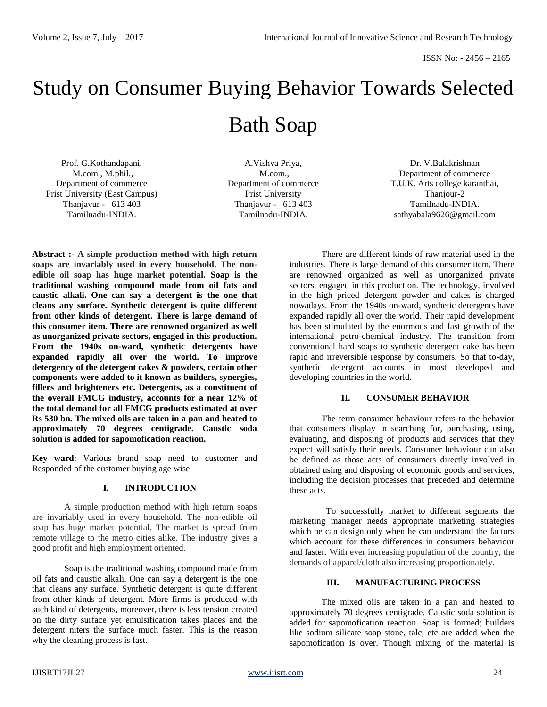# Study on Consumer Buying Behavior Towards Selected Bath Soap

Prof. G.Kothandapani, M.com., M.phil., Department of commerce Prist University (East Campus) Thanjavur - 613 403 Tamilnadu-INDIA.

A.Vishva Priya, M.com., Department of commerce Prist University Thanjavur - 613 403 Tamilnadu-INDIA.

Dr. V.Balakrishnan Department of commerce T.U.K. Arts college karanthai, Thaniour-2 Tamilnadu-INDIA. sathyabala9626@gmail.com

**Abstract :- A simple production method with high return soaps are invariably used in every household. The nonedible oil soap has huge market potential. Soap is the traditional washing compound made from oil fats and caustic alkali. One can say a detergent is the one that cleans any surface. Synthetic detergent is quite different from other kinds of detergent. There is large demand of this consumer item. There are renowned organized as well as unorganized private sectors, engaged in this production. From the 1940s on-ward, synthetic detergents have expanded rapidly all over the world. To improve detergency of the detergent cakes & powders, certain other components were added to it known as builders, synergies, fillers and brighteners etc. Detergents, as a constituent of the overall FMCG industry, accounts for a near 12% of the total demand for all FMCG products estimated at over Rs 530 bn. The mixed oils are taken in a pan and heated to approximately 70 degrees centigrade. Caustic soda solution is added for sapomofication reaction.**

**Key ward**: Various brand soap need to customer and Responded of the customer buying age wise

#### **I. INTRODUCTION**

A simple production method with high return soaps are invariably used in every household. The non-edible oil soap has huge market potential. The market is spread from remote village to the metro cities alike. The industry gives a good profit and high employment oriented.

Soap is the traditional washing compound made from oil fats and caustic alkali. One can say a detergent is the one that cleans any surface. Synthetic detergent is quite different from other kinds of detergent. More firms is produced with such kind of detergents, moreover, there is less tension created on the dirty surface yet emulsification takes places and the detergent niters the surface much faster. This is the reason why the cleaning process is fast.

There are different kinds of raw material used in the industries. There is large demand of this consumer item. There are renowned organized as well as unorganized private sectors, engaged in this production. The technology, involved in the high priced detergent powder and cakes is charged nowadays. From the 1940s on-ward, synthetic detergents have expanded rapidly all over the world. Their rapid development has been stimulated by the enormous and fast growth of the international petro-chemical industry. The transition from conventional hard soaps to synthetic detergent cake has been rapid and irreversible response by consumers. So that to-day, synthetic detergent accounts in most developed and developing countries in the world.

## **II. CONSUMER BEHAVIOR**

The term consumer behaviour refers to the behavior that consumers display in searching for, purchasing, using, evaluating, and disposing of products and services that they expect will satisfy their needs. Consumer behaviour can also be defined as those acts of consumers directly involved in obtained using and disposing of economic goods and services, including the decision processes that preceded and determine these acts.

To successfully market to different segments the marketing manager needs appropriate marketing strategies which he can design only when he can understand the factors which account for these differences in consumers behaviour and faster. With ever increasing population of the country, the demands of apparel/cloth also increasing proportionately.

## **III. MANUFACTURING PROCESS**

The mixed oils are taken in a pan and heated to approximately 70 degrees centigrade. Caustic soda solution is added for sapomofication reaction. Soap is formed; builders like sodium silicate soap stone, talc, etc are added when the sapomofication is over. Though mixing of the material is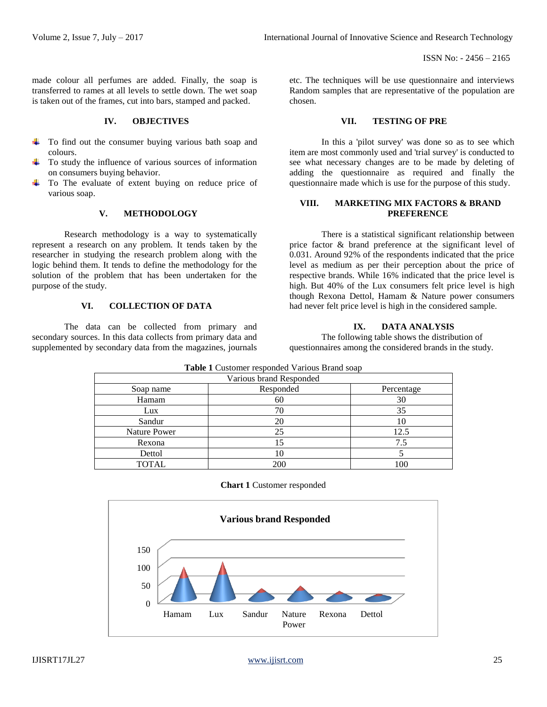made colour all perfumes are added. Finally, the soap is transferred to rames at all levels to settle down. The wet soap is taken out of the frames, cut into bars, stamped and packed.

## **IV. OBJECTIVES**

- To find out the consumer buying various bath soap and colours.
- To study the influence of various sources of information on consumers buying behavior.
- To The evaluate of extent buying on reduce price of various soap.

## **V. METHODOLOGY**

Research methodology is a way to systematically represent a research on any problem. It tends taken by the researcher in studying the research problem along with the logic behind them. It tends to define the methodology for the solution of the problem that has been undertaken for the purpose of the study.

## **VI. COLLECTION OF DATA**

The data can be collected from primary and secondary sources. In this data collects from primary data and supplemented by secondary data from the magazines, journals etc. The techniques will be use questionnaire and interviews Random samples that are representative of the population are chosen.

#### **VII. TESTING OF PRE**

In this a 'pilot survey' was done so as to see which item are most commonly used and 'trial survey' is conducted to see what necessary changes are to be made by deleting of adding the questionnaire as required and finally the questionnaire made which is use for the purpose of this study.

## **VIII. MARKETING MIX FACTORS & BRAND PREFERENCE**

There is a statistical significant relationship between price factor & brand preference at the significant level of 0.031. Around 92% of the respondents indicated that the price level as medium as per their perception about the price of respective brands. While 16% indicated that the price level is high. But 40% of the Lux consumers felt price level is high though Rexona Dettol, Hamam & Nature power consumers had never felt price level is high in the considered sample.

# **IX. DATA ANALYSIS**

The following table shows the distribution of questionnaires among the considered brands in the study.

| <b>Table 1</b> Customer responded Various Brand soap |           |            |  |  |  |
|------------------------------------------------------|-----------|------------|--|--|--|
| Various brand Responded                              |           |            |  |  |  |
| Soap name                                            | Responded | Percentage |  |  |  |
| Hamam                                                | 60        | 30         |  |  |  |
| Lux                                                  | 70        | 35         |  |  |  |
| Sandur                                               | 20        | 10         |  |  |  |
| Nature Power                                         | 25        | 12.5       |  |  |  |
| Rexona                                               | 15        | 7.5        |  |  |  |
| Dettol                                               | 10        |            |  |  |  |
| <b>TOTAL</b>                                         | 200       | 100        |  |  |  |

#### **Chart 1** Customer responded

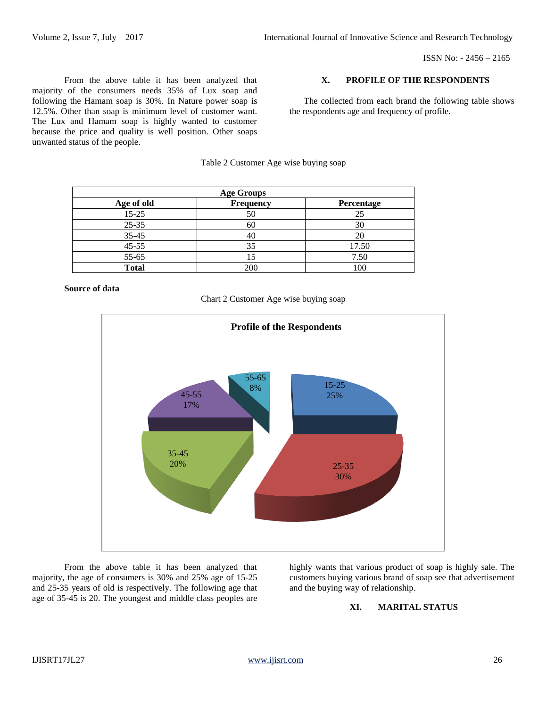ISSN No: - 2456 – 2165

From the above table it has been analyzed that majority of the consumers needs 35% of Lux soap and following the Hamam soap is 30%. In Nature power soap is 12.5%. Other than soap is minimum level of customer want. The Lux and Hamam soap is highly wanted to customer because the price and quality is well position. Other soaps unwanted status of the people.

#### **X. PROFILE OF THE RESPONDENTS**

The collected from each brand the following table shows the respondents age and frequency of profile.

|  | Table 2 Customer Age wise buying soap |  |  |
|--|---------------------------------------|--|--|
|  |                                       |  |  |

| <b>Age Groups</b> |                  |            |  |  |
|-------------------|------------------|------------|--|--|
| Age of old        | <b>Frequency</b> | Percentage |  |  |
| $15 - 25$         | 50               | 25         |  |  |
| $25 - 35$         | 60               | 30         |  |  |
| $35 - 45$         | 40               | 20         |  |  |
| $45 - 55$         | 35               | 17.50      |  |  |
| 55-65             |                  | 7.50       |  |  |
| <b>Total</b>      | 200              | 100        |  |  |

**Source of data** 





From the above table it has been analyzed that majority, the age of consumers is 30% and 25% age of 15-25 and 25-35 years of old is respectively. The following age that age of 35-45 is 20. The youngest and middle class peoples are highly wants that various product of soap is highly sale. The customers buying various brand of soap see that advertisement and the buying way of relationship.

# **XI. MARITAL STATUS**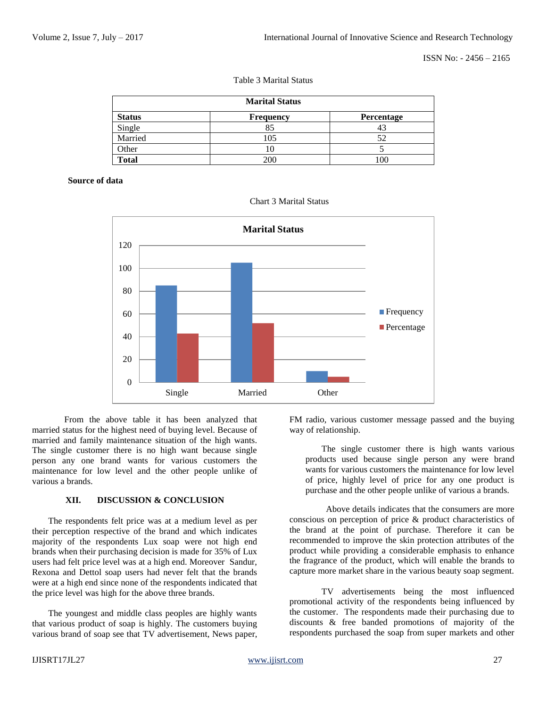ISSN No: - 2456 – 2165

| <b>Marital Status</b> |                  |            |  |  |
|-----------------------|------------------|------------|--|--|
| <b>Status</b>         | <b>Frequency</b> | Percentage |  |  |
| Single                | 85               | 43         |  |  |
| Married               | 105              | 52         |  |  |
| Other                 | 10               |            |  |  |
| <b>Total</b>          | 200              | 100        |  |  |

Table 3 Marital Status

#### **Source of data**



Chart 3 Marital Status

From the above table it has been analyzed that married status for the highest need of buying level. Because of married and family maintenance situation of the high wants. The single customer there is no high want because single person any one brand wants for various customers the maintenance for low level and the other people unlike of various a brands.

## **XII. DISCUSSION & CONCLUSION**

The respondents felt price was at a medium level as per their perception respective of the brand and which indicates majority of the respondents Lux soap were not high end brands when their purchasing decision is made for 35% of Lux users had felt price level was at a high end. Moreover Sandur, Rexona and Dettol soap users had never felt that the brands were at a high end since none of the respondents indicated that the price level was high for the above three brands.

The youngest and middle class peoples are highly wants that various product of soap is highly. The customers buying various brand of soap see that TV advertisement, News paper, FM radio, various customer message passed and the buying way of relationship.

The single customer there is high wants various products used because single person any were brand wants for various customers the maintenance for low level of price, highly level of price for any one product is purchase and the other people unlike of various a brands.

Above details indicates that the consumers are more conscious on perception of price & product characteristics of the brand at the point of purchase. Therefore it can be recommended to improve the skin protection attributes of the product while providing a considerable emphasis to enhance the fragrance of the product, which will enable the brands to capture more market share in the various beauty soap segment.

TV advertisements being the most influenced promotional activity of the respondents being influenced by the customer. The respondents made their purchasing due to discounts & free banded promotions of majority of the respondents purchased the soap from super markets and other